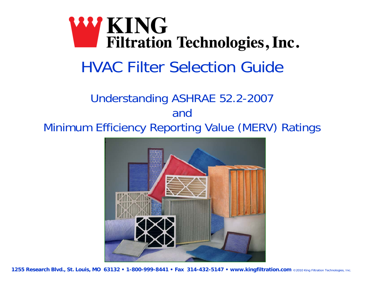# **WING Filtration Technologies, Inc.** HVAC Filter Selection Guide

### Understanding ASHRAE 52.2-2007 and Minimum Efficiency Reporting Value (MERV) Ratings

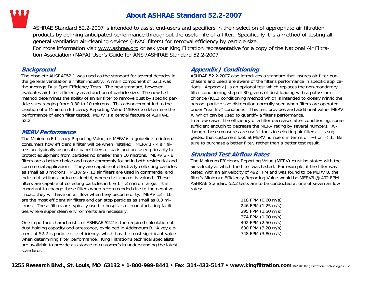

#### **About ASHRAE Standard 52.2-2007**

ASHRAE Standard 52.2-2007 is intended to assist end-users and specifiers in their selection of appropriate air filtration products by defining anticipated performance throughout the useful life of a filter. Specifically it is a method of testing all general ventilation air-cleaning devices (HVAC filters) for removal efficiency by particle size.

For more information visit www.ashrae.org or ask your King Filtration representative for a copy of the National Air Filtration Association (NAFA) User's Guide for ANSI/ASHRAE Standard 52.2-2007

#### **Background**

The obsolete AHSRAE52.1 was used as the standard for several decades in the general ventilation air filter industry. A main component of 52.1 was the Average Dust Spot Efficiency Tests. The new standard, however, evaluates air filter efficiency as a function of particle size. The new test method determines the ability of an air filter to remove dust by specific particle sizes ranging from 0.30 to 10 microns. This advancement led to the creation of a Minimum Efficiency Reporting Value (MERV) to determine the performance of each filter tested. MERV is a central feature of ASHRAE 52.2

#### **MERV Performance**

The Minimum Efficiency Reporting Value, or MERV is a guideline to inform consumers how efficient a filter will be when installed. MERV 1 - 4 air filters are typically disposable panel filters or pads and are used primarily to protect equipment from particles no smaller than 10 microns. MERV 5 - 8 filters are a better choice and more commonly found in both residential and commercial applications. They are capable of effectively collecting particles as small as 3 microns. MERV 9 - 12 air filters are used in commercial and industrial settings, or in residential, where dust control is valued. These filters are capable of collecting particles in the  $1 - 3$  micron range. It is important to change these filters when recommended due to the negative impact they will have on air flow when they become dirty. MERV 13 - 16 are the most efficient air filters and can stop particles as small as 0.3 microns. These filters are typically used in hospitals or manufacturing facilities where super clean environments are necessary.

One important characteristic of ASHRAE 52.2 is the required calculation of dust holding capacity and arrestance, explained in Addendum B. A key element of 52.2 is particle size efficiency, which has the most significant value when determining filter performance. King Filtration's technical specialists are available to provide assistance to customer's in understanding the latest standards.

#### **Appendix J Conditioning**

ASHRAE 52.2-2007 also introduces a standard that insures air filter purchasers and users are aware of the filter's performance in specific applications. Appendix J is an optional test which replaces the non-mandatory filter-conditioning step of 30 grams of dust loading with a potassiumchloride (KCL) conditioning method which is intended to closely mimic the aerosol-particle size distribution normally seen when filters are operated under "real-life" conditions. This test provides and additional value, MERV A, which can be used to quantify a filter's performance. In a few cases, the efficiency of a filter decreases after conditioning, some sufficient enough to decrease the MERV rating by several numbers. Although these measures are useful tools in selecting air filters, it is suggested that customers look at MERV numbers in terms of (+) or (-) 1. Be sure to purchase a better filter, rather than a better test result.

#### **Standard Test Airflow Rates**

The Minimum Efficiency Reporting Value (MERV) must be stated with the air velocity at which the filter was tested. For example, if the filter was tested with an air velocity of 492 FPM and was found to be MERV 8, the filter's Minimum Efficiency Reporting Value would be MERV8 @ 492 FPM. ASHRAE Standard 52.2 tests are to be conducted at one of seven airflow rates:

| 118 FPM (0.60 m/s) |
|--------------------|
| 246 FPM (1.25 m/s) |
| 295 FPM (1.50 m/s) |
| 374 FPM (1.90 m/s) |
| 492 FPM (2.50 m/s) |
| 630 FPM (3.20 m/s) |
| 748 FPM (3.80 m/s) |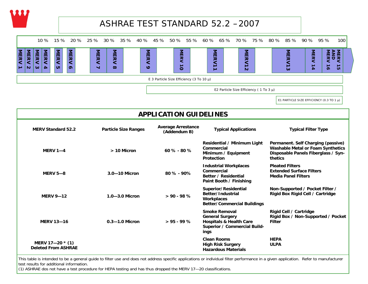

### ASHRAE TEST STANDARD 52.2 –2007



E1 PARTICLE SIZE EFFICIENCY (0.3 TO 1  $\mu$ )

| <b>APPLICATION GUIDELINES</b>                  |                             |                                           |                                                                                                                              |                                                                                                                                  |  |
|------------------------------------------------|-----------------------------|-------------------------------------------|------------------------------------------------------------------------------------------------------------------------------|----------------------------------------------------------------------------------------------------------------------------------|--|
| <b>MERV Standard 52.2</b>                      | <b>Particle Size Ranges</b> | <b>Average Arrestance</b><br>(Addendum B) | <b>Typical Applications</b>                                                                                                  | <b>Typical Filter Type</b>                                                                                                       |  |
| <b>MERV 1-4</b>                                | $> 10$ Micron               | $60 \% - 80 \%$                           | Residential / Minimum Light<br>Commercial<br>Minimum / Equipment<br><b>Protection</b>                                        | Permanent. Self Charging (passive)<br><b>Washable Metal or Foam Synthetics</b><br>Disposable Panels Fiberglass / Syn-<br>thetics |  |
| <b>MERV 5-8</b>                                | $3.0 - 10$ Micron           | $80 \% - 90%$                             | <b>Industrial Workplaces</b><br>Commercial<br>Better / Residential<br>Paint Booth / Finishing                                | <b>Pleated Filters</b><br><b>Extended Surface Filters</b><br><b>Media Panel Filters</b>                                          |  |
| <b>MERV 9-12</b>                               | $1.0 - 3.0$ Micron          | $> 90 - 98 %$                             | Superior/Residential<br>Better/Industrial<br>Workplaces<br><b>Better/Commercial Buildings</b>                                | Non-Supported / Pocket Filter /<br>Rigid Box Rigid Cell / Cartridge                                                              |  |
| <b>MERV 13-16</b>                              | $0.3 - 1.0$ Micron          | $> 95 - 99 \%$                            | <b>Smoke Removal</b><br><b>General Surgery</b><br><b>Hospitals &amp; Health Care</b><br>Superior / Commercial Build-<br>ings | Rigid Cell / Cartridge<br>Rigid Box / Non-Supported / Pocket<br><b>Filter</b>                                                    |  |
| MERV 17-20 * (1)<br><b>Deleted From ASHRAE</b> |                             |                                           | <b>Clean Rooms</b><br><b>High Risk Surgery</b><br><b>Hazardous Materials</b>                                                 | <b>HEPA</b><br><b>ULPA</b>                                                                                                       |  |

This table is intended to be a general guide to filter use and does not address specific applications or individual filter performance in a given application. Refer to manufacturer test results for additional information.

(1) ASHRAE dos not have a test procedure for HEPA testing and has thus dropped the MERV 17—20 classifications.